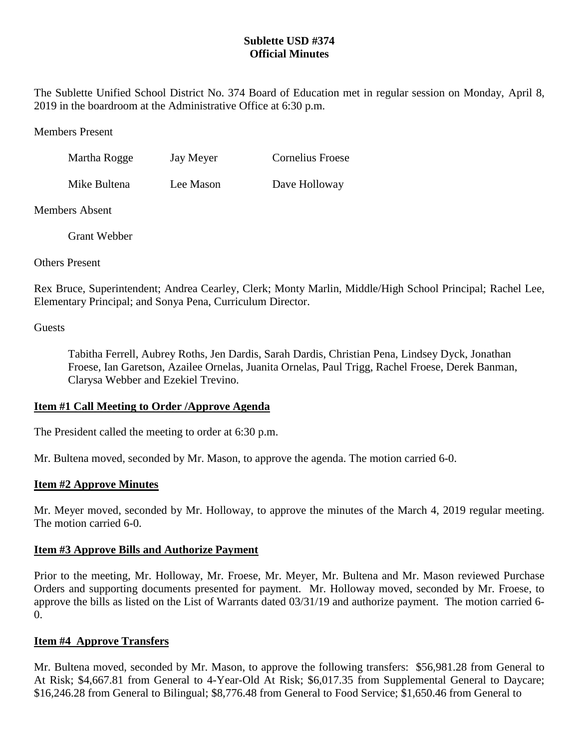## **Sublette USD #374 Official Minutes**

The Sublette Unified School District No. 374 Board of Education met in regular session on Monday, April 8, 2019 in the boardroom at the Administrative Office at 6:30 p.m.

Members Present

| Martha Rogge | Jay Meyer | <b>Cornelius Froese</b> |
|--------------|-----------|-------------------------|
|              |           |                         |

Mike Bultena Lee Mason Dave Holloway

Members Absent

Grant Webber

Others Present

Rex Bruce, Superintendent; Andrea Cearley, Clerk; Monty Marlin, Middle/High School Principal; Rachel Lee, Elementary Principal; and Sonya Pena, Curriculum Director.

**Guests** 

Tabitha Ferrell, Aubrey Roths, Jen Dardis, Sarah Dardis, Christian Pena, Lindsey Dyck, Jonathan Froese, Ian Garetson, Azailee Ornelas, Juanita Ornelas, Paul Trigg, Rachel Froese, Derek Banman, Clarysa Webber and Ezekiel Trevino.

## **Item #1 Call Meeting to Order /Approve Agenda**

The President called the meeting to order at 6:30 p.m.

Mr. Bultena moved, seconded by Mr. Mason, to approve the agenda. The motion carried 6-0.

## **Item #2 Approve Minutes**

Mr. Meyer moved, seconded by Mr. Holloway, to approve the minutes of the March 4, 2019 regular meeting. The motion carried 6-0.

# **Item #3 Approve Bills and Authorize Payment**

Prior to the meeting, Mr. Holloway, Mr. Froese, Mr. Meyer, Mr. Bultena and Mr. Mason reviewed Purchase Orders and supporting documents presented for payment. Mr. Holloway moved, seconded by Mr. Froese, to approve the bills as listed on the List of Warrants dated 03/31/19 and authorize payment. The motion carried 6-  $\Omega$ .

## **Item #4 Approve Transfers**

Mr. Bultena moved, seconded by Mr. Mason, to approve the following transfers: \$56,981.28 from General to At Risk; \$4,667.81 from General to 4-Year-Old At Risk; \$6,017.35 from Supplemental General to Daycare; \$16,246.28 from General to Bilingual; \$8,776.48 from General to Food Service; \$1,650.46 from General to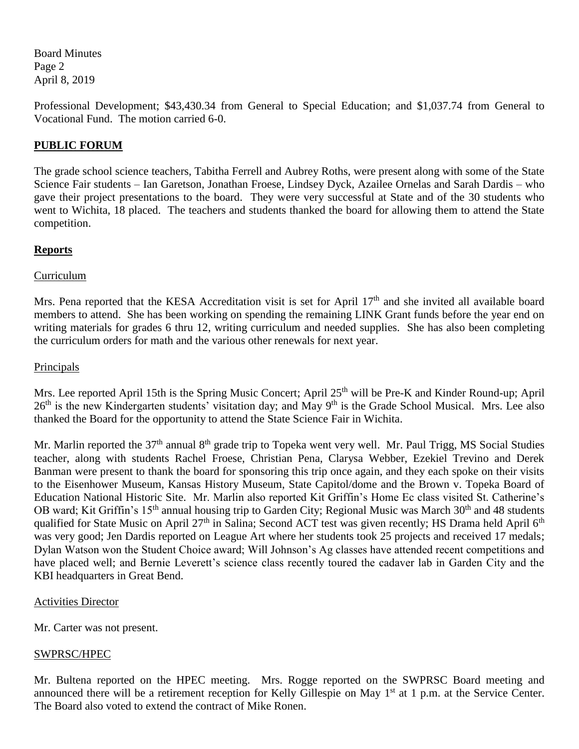Board Minutes Page 2 April 8, 2019

Professional Development; \$43,430.34 from General to Special Education; and \$1,037.74 from General to Vocational Fund. The motion carried 6-0.

## **PUBLIC FORUM**

The grade school science teachers, Tabitha Ferrell and Aubrey Roths, were present along with some of the State Science Fair students – Ian Garetson, Jonathan Froese, Lindsey Dyck, Azailee Ornelas and Sarah Dardis – who gave their project presentations to the board. They were very successful at State and of the 30 students who went to Wichita, 18 placed. The teachers and students thanked the board for allowing them to attend the State competition.

### **Reports**

### **Curriculum**

Mrs. Pena reported that the KESA Accreditation visit is set for April 17<sup>th</sup> and she invited all available board members to attend. She has been working on spending the remaining LINK Grant funds before the year end on writing materials for grades 6 thru 12, writing curriculum and needed supplies. She has also been completing the curriculum orders for math and the various other renewals for next year.

### Principals

Mrs. Lee reported April 15th is the Spring Music Concert; April 25<sup>th</sup> will be Pre-K and Kinder Round-up; April 26<sup>th</sup> is the new Kindergarten students' visitation day; and May 9<sup>th</sup> is the Grade School Musical. Mrs. Lee also thanked the Board for the opportunity to attend the State Science Fair in Wichita.

Mr. Marlin reported the 37<sup>th</sup> annual 8<sup>th</sup> grade trip to Topeka went very well. Mr. Paul Trigg, MS Social Studies teacher, along with students Rachel Froese, Christian Pena, Clarysa Webber, Ezekiel Trevino and Derek Banman were present to thank the board for sponsoring this trip once again, and they each spoke on their visits to the Eisenhower Museum, Kansas History Museum, State Capitol/dome and the Brown v. Topeka Board of Education National Historic Site. Mr. Marlin also reported Kit Griffin's Home Ec class visited St. Catherine's OB ward; Kit Griffin's 15<sup>th</sup> annual housing trip to Garden City; Regional Music was March 30<sup>th</sup> and 48 students qualified for State Music on April 27<sup>th</sup> in Salina; Second ACT test was given recently; HS Drama held April 6<sup>th</sup> was very good; Jen Dardis reported on League Art where her students took 25 projects and received 17 medals; Dylan Watson won the Student Choice award; Will Johnson's Ag classes have attended recent competitions and have placed well; and Bernie Leverett's science class recently toured the cadaver lab in Garden City and the KBI headquarters in Great Bend.

#### Activities Director

Mr. Carter was not present.

#### SWPRSC/HPEC

Mr. Bultena reported on the HPEC meeting. Mrs. Rogge reported on the SWPRSC Board meeting and announced there will be a retirement reception for Kelly Gillespie on May 1<sup>st</sup> at 1 p.m. at the Service Center. The Board also voted to extend the contract of Mike Ronen.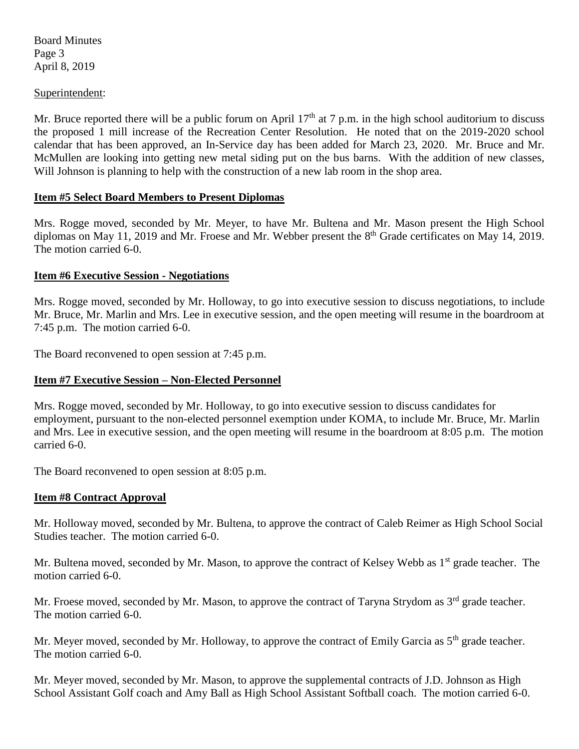Board Minutes Page 3 April 8, 2019

#### Superintendent:

Mr. Bruce reported there will be a public forum on April  $17<sup>th</sup>$  at 7 p.m. in the high school auditorium to discuss the proposed 1 mill increase of the Recreation Center Resolution. He noted that on the 2019-2020 school calendar that has been approved, an In-Service day has been added for March 23, 2020. Mr. Bruce and Mr. McMullen are looking into getting new metal siding put on the bus barns. With the addition of new classes, Will Johnson is planning to help with the construction of a new lab room in the shop area.

## **Item #5 Select Board Members to Present Diplomas**

Mrs. Rogge moved, seconded by Mr. Meyer, to have Mr. Bultena and Mr. Mason present the High School diplomas on May 11, 2019 and Mr. Froese and Mr. Webber present the  $8<sup>th</sup>$  Grade certificates on May 14, 2019. The motion carried 6-0.

## **Item #6 Executive Session - Negotiations**

Mrs. Rogge moved, seconded by Mr. Holloway, to go into executive session to discuss negotiations, to include Mr. Bruce, Mr. Marlin and Mrs. Lee in executive session, and the open meeting will resume in the boardroom at 7:45 p.m. The motion carried 6-0.

The Board reconvened to open session at 7:45 p.m.

## **Item #7 Executive Session – Non-Elected Personnel**

Mrs. Rogge moved, seconded by Mr. Holloway, to go into executive session to discuss candidates for employment, pursuant to the non-elected personnel exemption under KOMA, to include Mr. Bruce, Mr. Marlin and Mrs. Lee in executive session, and the open meeting will resume in the boardroom at 8:05 p.m. The motion carried 6-0.

The Board reconvened to open session at 8:05 p.m.

## **Item #8 Contract Approval**

Mr. Holloway moved, seconded by Mr. Bultena, to approve the contract of Caleb Reimer as High School Social Studies teacher. The motion carried 6-0.

Mr. Bultena moved, seconded by Mr. Mason, to approve the contract of Kelsey Webb as 1<sup>st</sup> grade teacher. The motion carried 6-0.

Mr. Froese moved, seconded by Mr. Mason, to approve the contract of Taryna Strydom as 3<sup>rd</sup> grade teacher. The motion carried 6-0.

Mr. Meyer moved, seconded by Mr. Holloway, to approve the contract of Emily Garcia as 5<sup>th</sup> grade teacher. The motion carried 6-0.

Mr. Meyer moved, seconded by Mr. Mason, to approve the supplemental contracts of J.D. Johnson as High School Assistant Golf coach and Amy Ball as High School Assistant Softball coach. The motion carried 6-0.